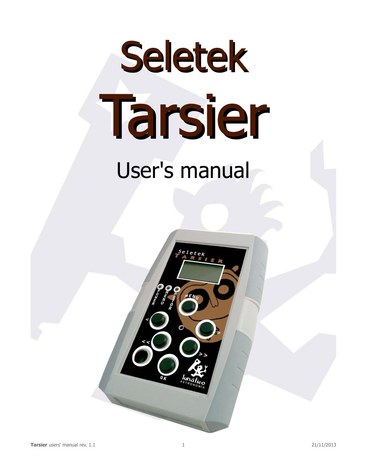# Seletek Tarsier User's manual

 $e$ *l*etek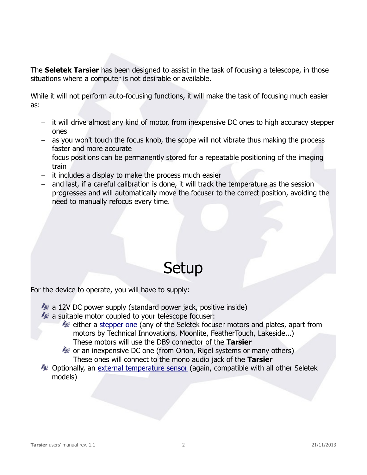The **Seletek Tarsier** has been designed to assist in the task of focusing a telescope, in those situations where a computer is not desirable or available.

While it will not perform auto-focusing functions, it will make the task of focusing much easier as:

- it will drive almost any kind of motor, from inexpensive DC ones to high accuracy stepper ones
- as you won't touch the focus knob, the scope will not vibrate thus making the process faster and more accurate
- focus positions can be permanently stored for a repeatable positioning of the imaging train
- it includes a display to make the process much easier
- and last, if a careful calibration is done, it will track the temperature as the session progresses and will automatically move the focuser to the correct position, avoiding the need to manually refocus every time.

### Setup

For the device to operate, you will have to supply:

- $\sim$  a 12V DC power supply (standard power jack, positive inside)
- $\sim$  a suitable motor coupled to your telescope focuser:
	- either a [stepper one](http://tienda.lunatico.es/epages/Store.sf/en_GB/?ObjectPath=/Shops/Store.Lunatico/Products/CMT05) (any of the Seletek focuser motors and plates, apart from motors by Technical Innovations, Moonlite, FeatherTouch, Lakeside...) These motors will use the DB9 connector of the **Tarsier**
	- $\bullet$  or an inexpensive DC one (from Orion, Rigel systems or many others) These ones will connect to the mono audio jack of the **Tarsier**
- $\clubsuit$  Optionally, an [external temperature sensor](http://tienda.lunatico.es/epages/Store.sf/en_GB/?ObjectPath=/Shops/Store.Lunatico/Products/ACASEL07) (again, compatible with all other Seletek models)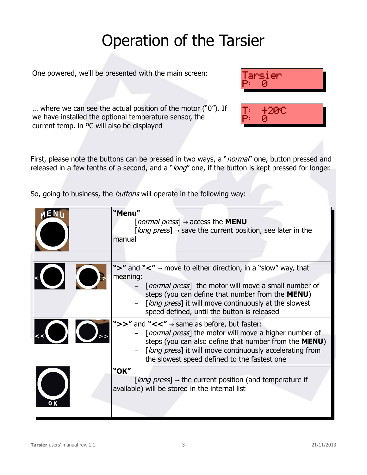# Operation of the Tarsier

One powered, we'll be presented with the main screen:  $\mathsf{Tarsier}$ 



'M9 C

P: 0

… where we can see the actual position of the motor ("0"). If we have installed the optional temperature sensor, the current temp. in ºC will also be displayed

First, please note the buttons can be pressed in two ways, a "*normal*" one, button pressed and released in a few tenths of a second, and a "long" one, if the button is kept pressed for longer.

So, going to business, the *buttons* will operate in the following way:

|                          | "Menu"<br>[ <i>normal press</i> ] $\rightarrow$ access the <b>MENU</b><br>[long press] $\rightarrow$ save the current position, see later in the<br>manual                                                                                                                                                    |
|--------------------------|---------------------------------------------------------------------------------------------------------------------------------------------------------------------------------------------------------------------------------------------------------------------------------------------------------------|
| $\overline{\phantom{0}}$ | ">" and "<" $\rightarrow$ move to either direction, in a "slow" way, that<br>meaning:<br>- [normal press] the motor will move a small number of<br>steps (you can define that number from the MENU)<br>- [long press] it will move continuously at the slowest<br>speed defined, until the button is released |
| $\overline{\mathcal{L}}$ | ">>" and "<<" $\rightarrow$ same as before, but faster:<br>- [normal press] the motor will move a higher number of<br>steps (you can also define that number from the MENU)<br>- [long press] it will move continuously accelerating from<br>the slowest speed defined to the fastest one                     |
|                          | "OK"<br>[ <i>long press</i> ] $\rightarrow$ the current position (and temperature if<br>available) will be stored in the internal list                                                                                                                                                                        |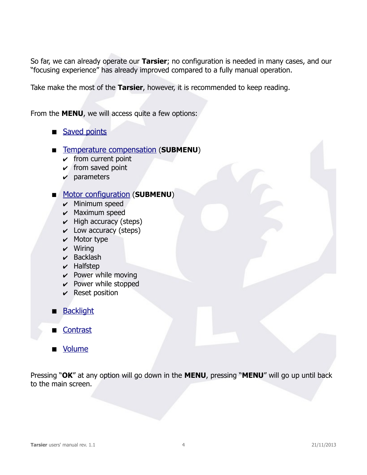So far, we can already operate our **Tarsier**; no configuration is needed in many cases, and our "focusing experience" has already improved compared to a fully manual operation.

Take make the most of the **Tarsier**, however, it is recommended to keep reading.

From the **MENU**, we will access quite a few options:

- [Saved points](#page-4-1)
- **EXTERNATION TEMPERATURE COMPENSATION (SUBMENU)** 
	- $\mathcal V$  from current point
	- $\checkmark$  from saved point
	- $\boldsymbol{\nu}$  parameters

#### **[Motor configuration](#page-5-0) (SUBMENU)**

- $\mathcal V$  Minimum speed
- $\mathcal V$  Maximum speed
- $\vee$  High accuracy (steps)
- $\checkmark$  Low accuracy (steps)
- $\mathcal V$  Motor type
- $\boldsymbol{\mathsf{v}}$  Wiring
- $\mathcal V$  Backlash
- $\mathcal V$  Halfstep
- $\vee$  Power while moving
- $\vee$  Power while stopped
- $\mathcal V$  Reset position
- **[Backlight](#page-6-2)**
- **[Contrast](#page-6-1)**
- **Nolume**

Pressing "**OK**" at any option will go down in the **MENU**, pressing "**MENU**" will go up until back to the main screen.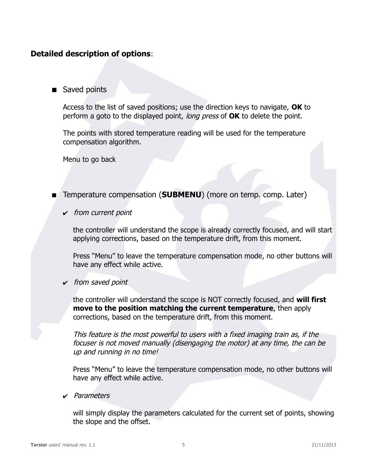#### **Detailed description of options**:

<span id="page-4-1"></span>Saved points

Access to the list of saved positions; use the direction keys to navigate, **OK** to perform a goto to the displayed point, long press of **OK** to delete the point.

The points with stored temperature reading will be used for the temperature compensation algorithm.

Menu to go back

- <span id="page-4-0"></span>**Temperature compensation (SUBMENU)** (more on temp. comp. Later)
	- $\mathcal V$  from current point

the controller will understand the scope is already correctly focused, and will start applying corrections, based on the temperature drift, from this moment.

Press "Menu" to leave the temperature compensation mode, no other buttons will have any effect while active.

 $\mathsf{\check{v}}$  from saved point

the controller will understand the scope is NOT correctly focused, and **will first move to the position matching the current temperature**, then apply corrections, based on the temperature drift, from this moment.

This feature is the most powerful to users with a fixed imaging train as, if the focuser is not moved manually (disengaging the motor) at any time, the can be up and running in no time!

Press "Menu" to leave the temperature compensation mode, no other buttons will have any effect while active.

✔ Parameters

will simply display the parameters calculated for the current set of points, showing the slope and the offset.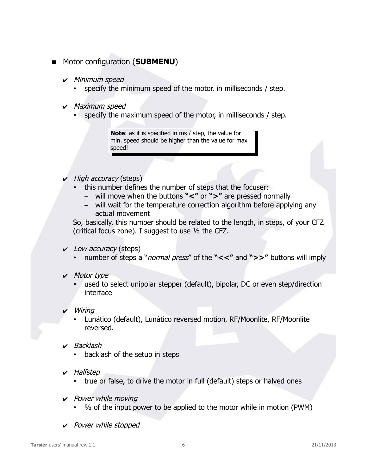- <span id="page-5-0"></span>**Motor configuration (SUBMENU)** 
	- $\boldsymbol{\mathsf{v}}$  Minimum speed
		- specify the minimum speed of the motor, in milliseconds / step.
	- $\mathcal V$  Maximum speed
		- specify the maximum speed of the motor, in milliseconds / step.

**Note**: as it is specified in ms / step, the value for min. speed should be higher than the value for max speed!

- $\vee$  High accuracy (steps)
	- this number defines the number of steps that the focuser:
		- will move when the buttons **"<"** or **">"** are pressed normally
		- will wait for the temperature correction algorithm before applying any actual movement

So, basically, this number should be related to the length, in steps, of your CFZ (critical focus zone). I suggest to use ½ the CFZ.

- $\vee$  Low accuracy (steps)
	- number of steps a "normal press" of the **"<<"** and **">>"** buttons will imply
- ✔ Motor type
	- used to select unipolar stepper (default), bipolar, DC or even step/direction interface
- $\boldsymbol{\mathsf{v}}$  Wiring
	- Lunático (default), Lunático reversed motion, RF/Moonlite, RF/Moonlite reversed.
- $\vee$  Backlash
	- backlash of the setup in steps
- ✔ Halfstep
	- true or false, to drive the motor in full (default) steps or halved ones
- $\mathcal V$  Power while moving
	- % of the input power to be applied to the motor while in motion (PWM)
- $\vee$  Power while stopped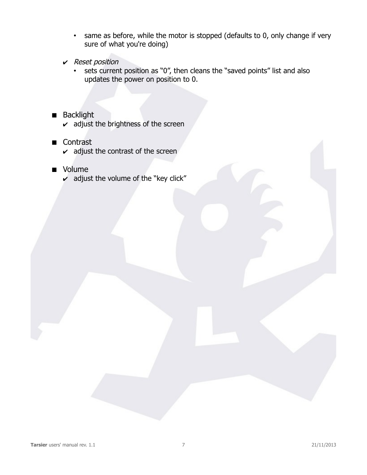- same as before, while the motor is stopped (defaults to 0, only change if very sure of what you're doing)
- $\mathcal V$  Reset position
	- sets current position as "0", then cleans the "saved points" list and also updates the power on position to 0.
- <span id="page-6-2"></span>**Backlight** 
	- $\mathbf v$  adjust the brightness of the screen
- <span id="page-6-1"></span>■ Contrast
	- $\boldsymbol{\nu}$  adjust the contrast of the screen
- <span id="page-6-0"></span>**volume** 
	- $\overline{v}$  adjust the volume of the "key click"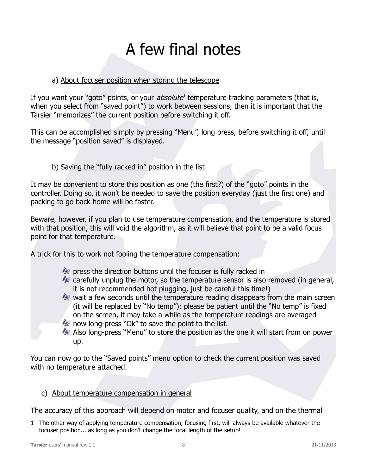## A few final notes

#### a) About focuser position when storing the telescope

If you want your "goto" points, or your *absolute*<sup>[1](#page-7-0)</sup> temperature tracking parameters (that is, when you select from "saved point") to work between sessions, then it is important that the Tarsier "memorizes" the current position before switching it off.

This can be accomplished simply by pressing "Menu", long press, before switching it off, until the message "position saved" is displayed.

#### b) Saving the "fully racked in" position in the list

It may be convenient to store this position as one (the first?) of the "goto" points in the controller. Doing so, it won't be needed to save the position everyday (just the first one) and packing to go back home will be faster.

Beware, however, if you plan to use temperature compensation, and the temperature is stored with that position, this will void the algorithm, as it will believe that point to be a valid focus point for that temperature.

A trick for this to work not fooling the temperature compensation:

- $\sim$  press the direction buttons until the focuser is fully racked in
- $\sim$  carefully unplug the motor, so the temperature sensor is also removed (in general, it is not recommended hot plugging, just be careful this time!)
- $\sim$  wait a few seconds until the temperature reading disappears from the main screen (it will be replaced by "No temp"); please be patient until the "No temp" is fixed on the screen, it may take a while as the temperature readings are averaged
- $\sim$  now long-press "Ok" to save the point to the list.
- Also long-press "Menu" to store the position as the one it will start from on power up.

You can now go to the "Saved points" menu option to check the current position was saved with no temperature attached.

c) About temperature compensation in general

The accuracy of this approach will depend on motor and focuser quality, and on the thermal

<span id="page-7-0"></span><sup>1</sup> The other way of applying temperature compensation, focusing first, will always be available whatever the focuser position... as long as you don't change the focal length of the setup!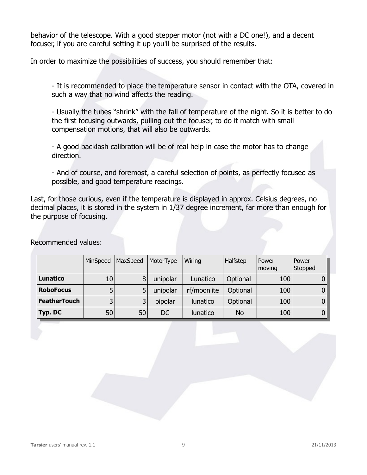behavior of the telescope. With a good stepper motor (not with a DC one!), and a decent focuser, if you are careful setting it up you'll be surprised of the results.

In order to maximize the possibilities of success, you should remember that:

- It is recommended to place the temperature sensor in contact with the OTA, covered in such a way that no wind affects the reading.

- Usually the tubes "shrink" with the fall of temperature of the night. So it is better to do the first focusing outwards, pulling out the focuser, to do it match with small compensation motions, that will also be outwards.

- A good backlash calibration will be of real help in case the motor has to change direction.

- And of course, and foremost, a careful selection of points, as perfectly focused as possible, and good temperature readings.

Last, for those curious, even if the temperature is displayed in approx. Celsius degrees, no decimal places, it is stored in the system in 1/37 degree increment, far more than enough for the purpose of focusing.

|                     | MinSpeed                | MaxSpeed | MotorType | Wiring      | Halfstep  | Power<br>moving | Power<br>Stopped |
|---------------------|-------------------------|----------|-----------|-------------|-----------|-----------------|------------------|
| Lunatico            | 10                      | 8        | unipolar  | Lunatico    | Optional  | 100             |                  |
| <b>RoboFocus</b>    |                         | 5        | unipolar  | rf/moonlite | Optional  | 100             | 0                |
| <b>FeatherTouch</b> | $\overline{\mathbf{z}}$ | 3        | bipolar   | lunatico    | Optional  | 100             | $\mathbf{0}$     |
| Typ. DC             | 50                      | 50       | DC        | lunatico    | <b>No</b> | 100             | 0                |

Recommended values: